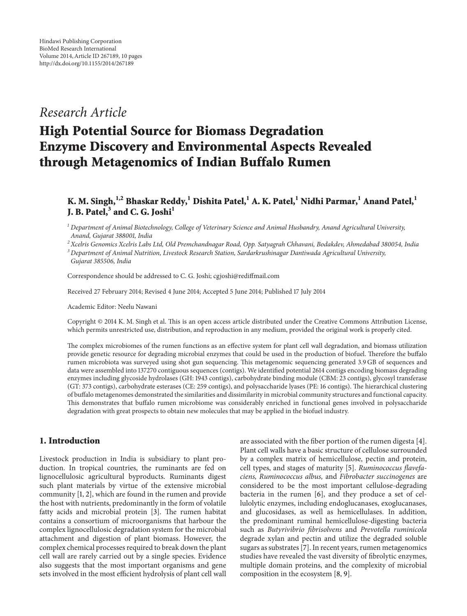## *Research Article*

# **High Potential Source for Biomass Degradation Enzyme Discovery and Environmental Aspects Revealed through Metagenomics of Indian Buffalo Rumen**

## **K. M. Singh,1,2 Bhaskar Reddy,<sup>1</sup> Dishita Patel,<sup>1</sup> A. K. Patel,<sup>1</sup> Nidhi Parmar,1 Anand Patel,1 J. B. Patel,3 and C. G. Joshi<sup>1</sup>**

*<sup>1</sup> Department of Animal Biotechnology, College of Veterinary Science and Animal Husbandry, Anand Agricultural University, Anand, Gujarat 388001, India*

*2Xcelris Genomics Xcelris Labs Ltd, Old Premchandnagar Road, Opp. Satyagrah Chhavani, Bodakdev, Ahmedabad 380054, India*

Correspondence should be addressed to C. G. Joshi; cgjoshi@rediffmail.com

Received 27 February 2014; Revised 4 June 2014; Accepted 5 June 2014; Published 17 July 2014

Academic Editor: Neelu Nawani

Copyright © 2014 K. M. Singh et al. This is an open access article distributed under the Creative Commons Attribution License, which permits unrestricted use, distribution, and reproduction in any medium, provided the original work is properly cited.

The complex microbiomes of the rumen functions as an effective system for plant cell wall degradation, and biomass utilization provide genetic resource for degrading microbial enzymes that could be used in the production of biofuel. Therefore the buffalo rumen microbiota was surveyed using shot gun sequencing. This metagenomic sequencing generated 3.9 GB of sequences and data were assembled into 137270 contiguous sequences (contigs). We identified potential 2614 contigs encoding biomass degrading enzymes including glycoside hydrolases (GH: 1943 contigs), carbohydrate binding module (CBM: 23 contigs), glycosyl transferase (GT: 373 contigs), carbohydrate esterases (CE: 259 contigs), and polysaccharide lyases (PE: 16 contigs). The hierarchical clustering of buffalo metagenomes demonstrated the similarities and dissimilarity in microbial community structures and functional capacity. This demonstrates that buffalo rumen microbiome was considerably enriched in functional genes involved in polysaccharide degradation with great prospects to obtain new molecules that may be applied in the biofuel industry.

### **1. Introduction**

Livestock production in India is subsidiary to plant production. In tropical countries, the ruminants are fed on lignocellulosic agricultural byproducts. Ruminants digest such plant materials by virtue of the extensive microbial community [1, 2], which are found in the rumen and provide the host with nutrients, predominantly in the form of volatile fatty acids and microbial protein [3]. The rumen habitat contains a consortium of microorganisms that harbour the complex lignocellulosic degradation system for the microbial attachment and digestion of plant biomass. However, the complex chemical processes required to break down the plant cell wall are rarely carried out by a single species. Evidence also suggests that the most important organisms and gene sets involved in the most efficient hydrolysis of plant cell wall

are associated with the fiber portion of the rumen digesta [4]. Plant cell walls have a basic structure of cellulose surrounded by a complex matrix of hemicellulose, pectin and protein, cell types, and stages of maturity [5]. *Ruminococcus flavefaciens, Ruminococcus albus,* and *Fibrobacter succinogenes* are considered to be the most important cellulose-degrading bacteria in the rumen [6], and they produce a set of cellulolytic enzymes, including endoglucanases, exoglucanases, and glucosidases, as well as hemicellulases. In addition, the predominant ruminal hemicellulose-digesting bacteria such as *Butyrivibrio fibrisolvens* and *Prevotella ruminicola* degrade xylan and pectin and utilize the degraded soluble sugars as substrates [7]. In recent years, rumen metagenomics studies have revealed the vast diversity of fibrolytic enzymes, multiple domain proteins, and the complexity of microbial composition in the ecosystem [8, 9].

*<sup>3</sup> Department of Animal Nutrition, Livestock Research Station, Sardarkrushinagar Dantiwada Agricultural University, Gujarat 385506, India*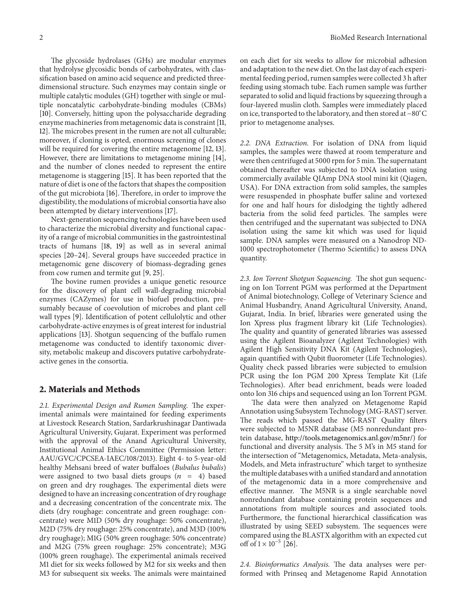The glycoside hydrolases (GHs) are modular enzymes that hydrolyse glycosidic bonds of carbohydrates, with classification based on amino acid sequence and predicted threedimensional structure. Such enzymes may contain single or multiple catalytic modules (GH) together with single or multiple noncatalytic carbohydrate-binding modules (CBMs) [10]. Conversely, hitting upon the polysaccharide degrading enzyme machineries from metagenomic data is constraint [11, 12]. The microbes present in the rumen are not all culturable; moreover, if cloning is opted, enormous screening of clones will be required for covering the entire metagenome [12, 13]. However, there are limitations to metagenome mining [14], and the number of clones needed to represent the entire metagenome is staggering [15]. It has been reported that the nature of diet is one of the factors that shapes the composition of the gut microbiota [16]. Therefore, in order to improve the digestibility, the modulations of microbial consortia have also been attempted by dietary interventions [17].

Next-generation sequencing technologies have been used to characterize the microbial diversity and functional capacity of a range of microbial communities in the gastrointestinal tracts of humans [18, 19] as well as in several animal species [20–24]. Several groups have succeeded practice in metagenomic gene discovery of biomass-degrading genes from cow rumen and termite gut [9, 25].

The bovine rumen provides a unique genetic resource for the discovery of plant cell wall-degrading microbial enzymes (CAZymes) for use in biofuel production, presumably because of coevolution of microbes and plant cell wall types [9]. Identification of potent cellulolytic and other carbohydrate-active enzymes is of great interest for industrial applications [13]. Shotgun sequencing of the buffalo rumen metagenome was conducted to identify taxonomic diversity, metabolic makeup and discovers putative carbohydrateactive genes in the consortia.

#### **2. Materials and Methods**

*2.1. Experimental Design and Rumen Sampling.* The experimental animals were maintained for feeding experiments at Livestock Research Station, Sardarkrushinagar Dantiwada Agricultural University, Gujarat. Experiment was performed with the approval of the Anand Agricultural University, Institutional Animal Ethics Committee (Permission letter: AAU/GVC/CPCSEA-IAEC/108/2013). Eight 4- to 5-year-old healthy Mehsani breed of water buffaloes (*Bubalus bubalis*) were assigned to two basal diets groups  $(n = 4)$  based on green and dry roughages. The experimental diets were designed to have an increasing concentration of dry roughage and a decreasing concentration of the concentrate mix. The diets (dry roughage: concentrate and green roughage: concentrate) were M1D (50% dry roughage: 50% concentrate), M2D (75% dry roughage: 25% concentrate), and M3D (100% dry roughage); M1G (50% green roughage: 50% concentrate) and M2G (75% green roughage: 25% concentrate); M3G (100% green roughage). The experimental animals received M1 diet for six weeks followed by M2 for six weeks and then M3 for subsequent six weeks. The animals were maintained on each diet for six weeks to allow for microbial adhesion and adaptation to the new diet. On the last day of each experimental feeding period, rumen samples were collected 3 h after feeding using stomach tube. Each rumen sample was further separated to solid and liquid fractions by squeezing through a four-layered muslin cloth. Samples were immediately placed on ice, transported to the laboratory, and then stored at −80<sup>∘</sup> C prior to metagenome analyses.

*2.2. DNA Extraction.* For isolation of DNA from liquid samples, the samples were thawed at room temperature and were then centrifuged at 5000 rpm for 5 min. The supernatant obtained thereafter was subjected to DNA isolation using commercially available QIAmp DNA stool mini kit (Qiagen, USA). For DNA extraction from solid samples, the samples were resuspended in phosphate buffer saline and vortexed for one and half hours for dislodging the tightly adhered bacteria from the solid feed particles. The samples were then centrifuged and the supernatant was subjected to DNA isolation using the same kit which was used for liquid sample. DNA samples were measured on a Nanodrop ND-1000 spectrophotometer (Thermo Scientific) to assess DNA quantity.

*2.3. Ion Torrent Shotgun Sequencing.* The shot gun sequencing on Ion Torrent PGM was performed at the Department of Animal biotechnology, College of Veterinary Science and Animal Husbandry, Anand Agricultural University, Anand, Gujarat, India. In brief, libraries were generated using the Ion Xpress plus fragment library kit (Life Technologies). The quality and quantity of generated libraries was assessed using the Agilent Bioanalyzer (Agilent Technologies) with Agilent High Sensitivity DNA Kit (Agilent Technologies), again quantified with Qubit fluorometer (Life Technologies). Quality check passed libraries were subjected to emulsion PCR using the Ion PGM 200 Xpress Template Kit (Life Technologies). After bead enrichment, beads were loaded onto Ion 316 chips and sequenced using an Ion Torrent PGM.

The data were then analyzed on Metagenome Rapid Annotation using Subsystem Technology (MG-RAST) server. The reads which passed the MG-RAST Quality filters were subjected to M5NR database (M5 nonredundant protein database, http://tools.metagenomics.anl.gov/m5nr/) for functional and diversity analysis. The 5 M's in M5 stand for the intersection of "Metagenomics, Metadata, Meta-analysis, Models, and Meta infrastructure" which target to synthesize the multiple databases with a unified standard and annotation of the metagenomic data in a more comprehensive and effective manner. The M5NR is a single searchable novel nonredundant database containing protein sequences and annotations from multiple sources and associated tools. Furthermore, the functional hierarchical classification was illustrated by using SEED subsystem. The sequences were compared using the BLASTX algorithm with an expected cut off of  $1 \times 10^{-5}$  [26].

*2.4. Bioinformatics Analysis.* The data analyses were performed with Prinseq and Metagenome Rapid Annotation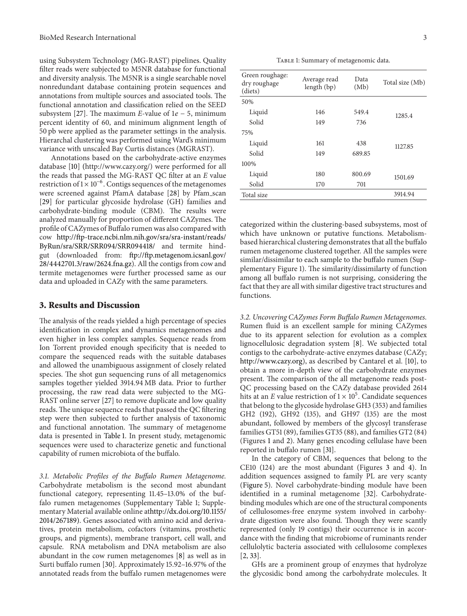using Subsystem Technology (MG-RAST) pipelines. Quality filter reads were subjected to M5NR database for functional and diversity analysis. The M5NR is a single searchable novel nonredundant database containing protein sequences and annotations from multiple sources and associated tools. The functional annotation and classification relied on the SEED subsystem [27]. The maximum *E*-value of  $1e - 5$ , minimum percent identity of 60, and minimum alignment length of 50 pb were applied as the parameter settings in the analysis. Hierarchal clustering was performed using Ward's minimum variance with unscaled Bay Curtis distances (MGRAST).

Annotations based on the carbohydrate-active enzymes database [10] (http://www.cazy.org/) were performed for all the reads that passed the MG-RAST QC filter at an *E* value restriction of  $1 \times 10^{-6}$ . Contigs sequences of the metagenomes were screened against PfamA database [28] by Pfam scan [29] for particular glycoside hydrolase (GH) families and carbohydrate-binding module (CBM). The results were analyzed manually for proportion of different CAZymes. The profile of CAZymes of Buffalo rumen was also compared with cow http://ftp-trace.ncbi.nlm.nih.gov/sra/sra-instant/reads/ ByRun/sra/SRR/SRR094/SRR094418/ and termite hindgut (downloaded from: ftp://ftp.metagenom.icsanl.gov/ 28/4442701.3/raw/2624.fna.gz). All the contigs from cow and termite metagenomes were further processed same as our data and uploaded in CAZy with the same parameters.

#### **3. Results and Discussion**

The analysis of the reads yielded a high percentage of species identification in complex and dynamics metagenomes and even higher in less complex samples. Sequence reads from Ion Torrent provided enough specificity that is needed to compare the sequenced reads with the suitable databases and allowed the unambiguous assignment of closely related species. The shot gun sequencing runs of all metagenomics samples together yielded 3914.94 MB data. Prior to further processing, the raw read data were subjected to the MG-RAST online server [27] to remove duplicate and low quality reads. The unique sequence reads that passed the QC filtering step were then subjected to further analysis of taxonomic and functional annotation. The summary of metagenome data is presented in Table 1. In present study, metagenomic sequences were used to characterize genetic and functional capability of rumen microbiota of the buffalo.

*3.1. Metabolic Profiles of the Buffalo Rumen Metagenome.* Carbohydrate metabolism is the second most abundant functional category, representing 11.45–13.0% of the buffalo rumen metagenomes (Supplementary Table 1; Supplementary Material available online athttp://dx.doi.org/10.1155/ 2014/267189). Genes associated with amino acid and derivatives, protein metabolism, cofactors (vitamins, prosthetic groups, and pigments), membrane transport, cell wall, and capsule. RNA metabolism and DNA metabolism are also abundant in the cow rumen metagenomes [8] as well as in Surti buffalo rumen [30]. Approximately 15.92–16.97% of the annotated reads from the buffalo rumen metagenomes were

TABLE 1: Summary of metagenomic data.

| Green roughage:<br>dry roughage<br>(diets) | Average read<br>length (bp) | Data<br>(Mb) | Total size (Mb) |
|--------------------------------------------|-----------------------------|--------------|-----------------|
| 50%                                        |                             |              |                 |
| Liquid                                     | 146                         | 549.4        | 1285.4          |
| Solid                                      | 149                         | 736          |                 |
| 75%                                        |                             |              |                 |
| Liquid                                     | 161                         | 438          | 1127.85         |
| Solid                                      | 149                         | 689.85       |                 |
| 100%                                       |                             |              |                 |
| Liquid                                     | 180                         | 800.69       | 1501.69         |
| Solid                                      | 170                         | 701          |                 |
| Total size                                 |                             |              | 3914.94         |

categorized within the clustering-based subsystems, most of which have unknown or putative functions. Metabolismbased hierarchical clustering demonstrates that all the buffalo rumen metagenome clustered together. All the samples were similar/dissimilar to each sample to the buffalo rumen (Supplementary Figure 1). The similarity/dissimilarty of function among all buffalo rumen is not surprising, considering the fact that they are all with similar digestive tract structures and functions.

*3.2. Uncovering CAZymes Form Buffalo Rumen Metagenomes.* Rumen fluid is an excellent sample for mining CAZymes due to its apparent selection for evolution as a complex lignocellulosic degradation system [8]. We subjected total contigs to the carbohydrate-active enzymes database (CAZy; http://www.cazy.org), as described by Cantarel et al. [10], to obtain a more in-depth view of the carbohydrate enzymes present. The comparison of the all metagenome reads post-QC processing based on the CAZy database provided 2614 hits at an *E* value restriction of  $1 \times 10^5$ . Candidate sequences that belong to the glycoside hydrolase GH3 (353) and families GH2 (192), GH92 (135), and GH97 (135) are the most abundant, followed by members of the glycosyl transferase families GT51 (89), families GT35 (88), and families GT2 (84) (Figures 1 and 2). Many genes encoding cellulase have been reported in buffalo rumen [31].

In the category of CBM, sequences that belong to the CE10 (124) are the most abundant (Figures 3 and 4). In addition sequences assigned to family PL are very scanty (Figure 5). Novel carbohydrate-binding module have been identified in a ruminal metagenome [32]. Carbohydratebinding modules which are one of the structural components of cellulosomes-free enzyme system involved in carbohydrate digestion were also found. Though they were scantly represented (only 19 contigs) their occurrence is in accordance with the finding that microbiome of ruminants render cellulolytic bacteria associated with cellulosome complexes [2, 33].

GHs are a prominent group of enzymes that hydrolyze the glycosidic bond among the carbohydrate molecules. It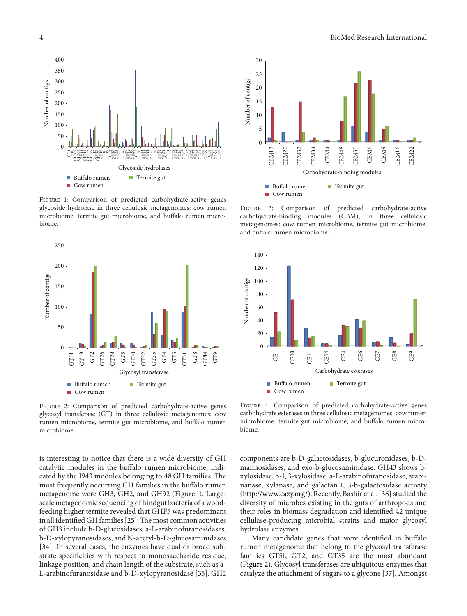

Figure 1: Comparison of predicted carbohydrate-active genes glycoside hydrolase in three cellulosic metagenomes: cow rumen microbiome, termite gut microbiome, and buffalo rumen microbiome.



Figure 2: Comparison of predicted carbohydrate-active genes glycosyl transferase (GT) in three cellulosic metagenomes: cow rumen microbiome, termite gut microbiome, and buffalo rumen microbiome.

is interesting to notice that there is a wide diversity of GH catalytic modules in the buffalo rumen microbiome, indicated by the 1943 modules belonging to 48 GH families. The most frequently occurring GH families in the buffalo rumen metagenome were GH3, GH2, and GH92 (Figure 1). Largescale metagenomic sequencing of hindgut bacteria of a woodfeeding higher termite revealed that GHF5 was predominant in all identified GH families [25]. The most common activities of GH3 include b-D-glucosidases, a-L-arabinofuranosidases, b-D-xylopyranosidases, and N-acetyl-b-D-glucosaminidases [34]. In several cases, the enzymes have dual or broad substrate specificities with respect to monosaccharide residue, linkage position, and chain length of the substrate, such as a-L-arabinofuranosidase and b-D-xylopyranosidase [35]. GH2



FIGURE 3: Comparison of predicted carbohydrate-active carbohydrate-binding modules (CBM), in three cellulosic metagenomes: cow rumen microbiome, termite gut microbiome, and buffalo rumen microbiome.



Figure 4: Comparison of predicted carbohydrate-active genes carbohydrate esterases in three cellulosic metagenomes: cow rumen microbiome, termite gut microbiome, and buffalo rumen microbiome.

components are b-D-galactosidases, b-glucuronidases, b-Dmannosidases, and exo-b-glucosaminidase. GH43 shows bxylosidase, b-1, 3-xylosidase, a-L-arabinofuranosidase, arabinanase, xylanase, and galactan 1, 3-b-galactosidase activity (http://www.cazy.org/). Recently, Bashir et al. [36] studied the diversity of microbes existing in the guts of arthropods and their roles in biomass degradation and identified 42 unique cellulase-producing microbial strains and major glycosyl hydrolase enzymes.

Many candidate genes that were identified in buffalo rumen metagenome that belong to the glycosyl transferase families GT51, GT2, and GT35 are the most abundant (Figure 2). Glycosyl transferases are ubiquitous enzymes that catalyze the attachment of sugars to a glycone [37]. Amongst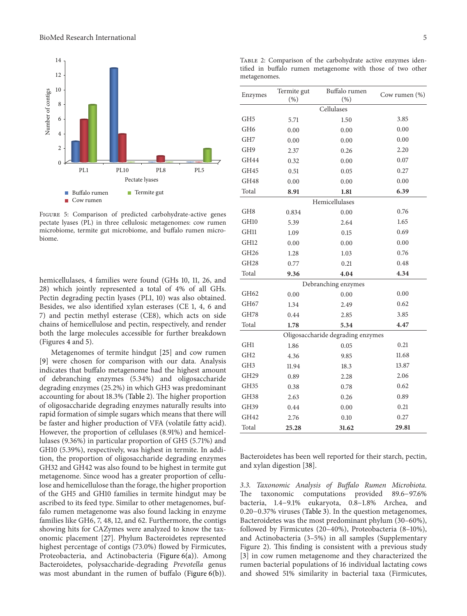

Figure 5: Comparison of predicted carbohydrate-active genes pectate lyases (PL) in three cellulosic metagenomes: cow rumen microbiome, termite gut microbiome, and buffalo rumen microbiome.

hemicellulases, 4 families were found (GHs 10, 11, 26, and 28) which jointly represented a total of 4% of all GHs. Pectin degrading pectin lyases (PL1, 10) was also obtained. Besides, we also identified xylan esterases (CE 1, 4, 6 and 7) and pectin methyl esterase (CE8), which acts on side chains of hemicellulose and pectin, respectively, and render both the large molecules accessible for further breakdown (Figures 4 and 5).

Metagenomes of termite hindgut [25] and cow rumen [9] were chosen for comparison with our data. Analysis indicates that buffalo metagenome had the highest amount of debranching enzymes (5.34%) and oligosaccharide degrading enzymes (25.2%) in which GH3 was predominant accounting for about 18.3% (Table 2). The higher proportion of oligosaccharide degrading enzymes naturally results into rapid formation of simple sugars which means that there will be faster and higher production of VFA (volatile fatty acid). However, the proportion of cellulases (8.91%) and hemicellulases (9.36%) in particular proportion of GH5 (5.71%) and GH10 (5.39%), respectively, was highest in termite. In addition, the proportion of oligosaccharide degrading enzymes GH32 and GH42 was also found to be highest in termite gut metagenome. Since wood has a greater proportion of cellulose and hemicellulose than the forage, the higher proportion of the GH5 and GH10 families in termite hindgut may be ascribed to its feed type. Similar to other metagenomes, buffalo rumen metagenome was also found lacking in enzyme families like GH6, 7, 48, 12, and 62. Furthermore, the contigs showing hits for CAZymes were analyzed to know the taxonomic placement [27]. Phylum Bacteroidetes represented highest percentage of contigs (73.0%) flowed by Firmicutes, Proteobacteria, and Actinobacteria (Figure 6(a)). Among Bacteroidetes, polysaccharide-degrading *Prevotella* genus was most abundant in the rumen of buffalo (Figure 6(b)).

| o                |             |                                   |               |
|------------------|-------------|-----------------------------------|---------------|
| Enzymes          | Termite gut | Buffalo rumen                     | Cow rumen (%) |
|                  | (%)         | (% )                              |               |
|                  |             | Cellulases                        |               |
| GH <sub>5</sub>  | 5.71        | 1.50                              | 3.85          |
| GH <sub>6</sub>  | 0.00        | 0.00                              | 0.00          |
| GH <sub>7</sub>  | 0.00        | 0.00                              | 0.00          |
| GH <sub>9</sub>  | 2.37        | 0.26                              | 2.20          |
| GH44             | 0.32        | 0.00                              | 0.07          |
| GH45             | 0.51        | 0.05                              | 0.27          |
| GH48             | 0.00        | 0.00                              | 0.00          |
| Total            | 8.91        | 1.81                              | 6.39          |
|                  |             | Hemicellulases                    |               |
| GH <sub>8</sub>  | 0.834       | 0.00                              | 0.76          |
| GH <sub>10</sub> | 5.39        | 2.64                              | 1.65          |
| GH11             | 1.09        | 0.15                              | 0.69          |
| GH12             | 0.00        | 0.00                              | 0.00          |
| GH <sub>26</sub> | 1.28        | 1.03                              | 0.76          |
| GH <sub>28</sub> | 0.77        | 0.21                              | 0.48          |
| Total            | 9.36        | 4.04                              | 4.34          |
|                  |             | Debranching enzymes               |               |
| GH62             | 0.00        | 0.00                              | 0.00          |
| GH67             | 1.34        | 2.49                              | 0.62          |
| GH78             | 0.44        | 2.85                              | 3.85          |
| Total            | 1.78        | 5.34                              | 4.47          |
|                  |             | Oligosaccharide degrading enzymes |               |
| GH1              | 1.86        | 0.05                              | 0.21          |
| GH <sub>2</sub>  | 4.36        | 9.85                              | 11.68         |
| GH <sub>3</sub>  | 11.94       | 18.3                              | 13.87         |
| GH <sub>29</sub> | 0.89        | 2.28                              | 2.06          |
| GH35             | 0.38        | 0.78                              | 0.62          |
| GH38             | 2.63        | 0.26                              | 0.89          |
| GH39             | 0.44        | 0.00                              | 0.21          |
| GH42             | 2.76        | 0.10                              | 0.27          |
| Total            | 25.28       | 31.62                             | 29.81         |
|                  |             |                                   |               |

Table 2: Comparison of the carbohydrate active enzymes identified in buffalo rumen metagenome with those of two other metagenomes.

Bacteroidetes has been well reported for their starch, pectin, and xylan digestion [38].

*3.3. Taxonomic Analysis of Buffalo Rumen Microbiota.* The taxonomic computations provided 89.6−97.6% bacteria, 1.4−9.1% eukaryota, 0.8−1.8% Archea, and 0.20−0.37% viruses (Table 3). In the question metagenomes, Bacteroidetes was the most predominant phylum (30–60%), followed by Firmicutes (20–40%), Proteobacteria (8–10%), and Actinobacteria (3–5%) in all samples (Supplementary Figure 2). This finding is consistent with a previous study [3] in cow rumen metagenome and they characterized the rumen bacterial populations of 16 individual lactating cows and showed 51% similarity in bacterial taxa (Firmicutes,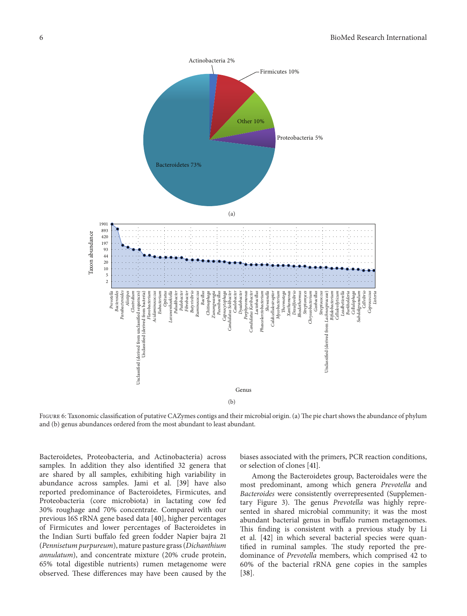

Figure 6: Taxonomic classification of putative CAZymes contigs and their microbial origin. (a) The pie chart shows the abundance of phylum and (b) genus abundances ordered from the most abundant to least abundant.

Bacteroidetes, Proteobacteria, and Actinobacteria) across samples. In addition they also identified 32 genera that are shared by all samples, exhibiting high variability in abundance across samples. Jami et al. [39] have also reported predominance of Bacteroidetes, Firmicutes, and Proteobacteria (core microbiota) in lactating cow fed 30% roughage and 70% concentrate. Compared with our previous 16S rRNA gene based data [40], higher percentages of Firmicutes and lower percentages of Bacteroidetes in the Indian Surti buffalo fed green fodder Napier bajra 21 (*Pennisetum purpureum*), mature pasture grass (*Dichanthium annulatum*), and concentrate mixture (20% crude protein, 65% total digestible nutrients) rumen metagenome were observed. These differences may have been caused by the

biases associated with the primers, PCR reaction conditions, or selection of clones [41].

Among the Bacteroidetes group, Bacteroidales were the most predominant, among which genera *Prevotella* and *Bacteroides* were consistently overrepresented (Supplementary Figure 3). The genus *Prevotella* was highly represented in shared microbial community; it was the most abundant bacterial genus in buffalo rumen metagenomes. This finding is consistent with a previous study by Li et al. [42] in which several bacterial species were quantified in ruminal samples. The study reported the predominance of *Prevotella* members, which comprised 42 to 60% of the bacterial rRNA gene copies in the samples [38].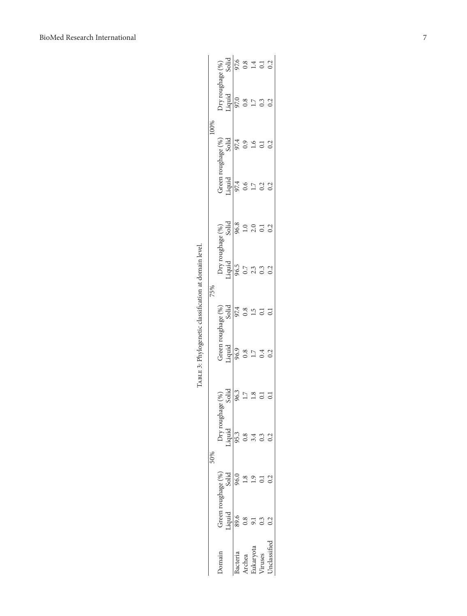| $\begin{tabular}{l} Dryr roughage (%), \\ Liquid & Solid \\ 97.0 & 97.6 \\ 0.8 & 0.8 \\ 1.7 & 1.4 \\ 0.3 & 0.1 \\ 0.2 & 0.2 \\ \end{tabular}$<br>100%<br>$\frac{1}{97.4}$<br>$\frac{1}{97.4}$<br>$\frac{1}{97.4}$<br>$\frac{1}{97.4}$<br>$\frac{1}{97.4}$<br>Green roughage (%)<br>Liquid Solid<br>97.4 97.4<br>0.6 0.9<br>1.7 1.6<br>$0.2$<br>$0.2$<br>Dry roughage (%)<br>Liquid Solid<br>96.5 96.8<br>0.7<br>2.0<br>2.0<br>2.0<br>0.3<br>0.2<br>0.2<br>0.2<br>0.2<br>75%<br>Green roughage (%)<br>Liquid Solid<br>96.9 97.4<br>0.8 0.8<br>1.7 1.5<br>0.4 0.1<br>$\overline{0}$<br>0.2<br>$rac{8}{3614}$<br>$rac{3}{963}$<br>$\frac{17}{12}$<br>Dry roughage (<br>Liquid<br>95.3<br>0.8<br>0.2<br>50%<br>0.96<br>Solid<br>Green roughage (%<br>Liquid<br>89.6<br>Inclassified<br>ukaryota<br>acteria<br>homain<br><i>Truses</i><br>Archea |  |  | Гавг в 3: Phylogenetic classification at domain level. |  |  |  |  |
|---------------------------------------------------------------------------------------------------------------------------------------------------------------------------------------------------------------------------------------------------------------------------------------------------------------------------------------------------------------------------------------------------------------------------------------------------------------------------------------------------------------------------------------------------------------------------------------------------------------------------------------------------------------------------------------------------------------------------------------------------------------------------------------------------------------------------------------------|--|--|--------------------------------------------------------|--|--|--|--|
|                                                                                                                                                                                                                                                                                                                                                                                                                                                                                                                                                                                                                                                                                                                                                                                                                                             |  |  |                                                        |  |  |  |  |
|                                                                                                                                                                                                                                                                                                                                                                                                                                                                                                                                                                                                                                                                                                                                                                                                                                             |  |  |                                                        |  |  |  |  |
|                                                                                                                                                                                                                                                                                                                                                                                                                                                                                                                                                                                                                                                                                                                                                                                                                                             |  |  |                                                        |  |  |  |  |
|                                                                                                                                                                                                                                                                                                                                                                                                                                                                                                                                                                                                                                                                                                                                                                                                                                             |  |  |                                                        |  |  |  |  |
|                                                                                                                                                                                                                                                                                                                                                                                                                                                                                                                                                                                                                                                                                                                                                                                                                                             |  |  |                                                        |  |  |  |  |
|                                                                                                                                                                                                                                                                                                                                                                                                                                                                                                                                                                                                                                                                                                                                                                                                                                             |  |  |                                                        |  |  |  |  |
|                                                                                                                                                                                                                                                                                                                                                                                                                                                                                                                                                                                                                                                                                                                                                                                                                                             |  |  |                                                        |  |  |  |  |
|                                                                                                                                                                                                                                                                                                                                                                                                                                                                                                                                                                                                                                                                                                                                                                                                                                             |  |  |                                                        |  |  |  |  |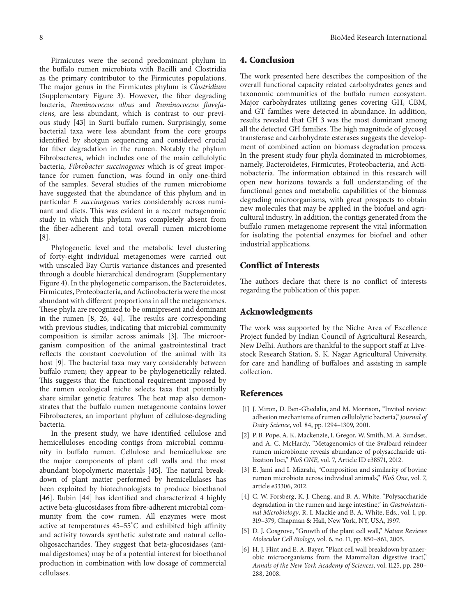Firmicutes were the second predominant phylum in the buffalo rumen microbiota with Bacilli and Clostridia as the primary contributor to the Firmicutes populations. The major genus in the Firmicutes phylum is *Clostridium* (Supplementary Figure 3). However, the fiber degrading bacteria, *Ruminococcus albus* and *Ruminococcus flavefaciens,* are less abundant, which is contrast to our previous study [43] in Surti buffalo rumen. Surprisingly, some bacterial taxa were less abundant from the core groups identified by shotgun sequencing and considered crucial for fiber degradation in the rumen. Notably the phylum Fibrobacteres, which includes one of the main cellulolytic bacteria, *Fibrobacter succinogenes* which is of great importance for rumen function, was found in only one-third of the samples. Several studies of the rumen microbiome have suggested that the abundance of this phylum and in particular *F. succinogenes* varies considerably across ruminant and diets. This was evident in a recent metagenomic study in which this phylum was completely absent from the fiber-adherent and total overall rumen microbiome [8].

Phylogenetic level and the metabolic level clustering of forty-eight individual metagenomes were carried out with unscaled Bay Curtis variance distances and presented through a double hierarchical dendrogram (Supplementary Figure 4). In the phylogenetic comparison, the Bacteroidetes, Firmicutes, Proteobacteria, and Actinobacteria were the most abundant with different proportions in all the metagenomes. These phyla are recognized to be omnipresent and dominant in the rumen [8, 26, 44]. The results are corresponding with previous studies, indicating that microbial community composition is similar across animals [3]. The microorganism composition of the animal gastrointestinal tract reflects the constant coevolution of the animal with its host [9]. The bacterial taxa may vary considerably between buffalo rumen; they appear to be phylogenetically related. This suggests that the functional requirement imposed by the rumen ecological niche selects taxa that potentially share similar genetic features. The heat map also demonstrates that the buffalo rumen metagenome contains lower Fibrobacteres, an important phylum of cellulose-degrading bacteria.

In the present study, we have identified cellulose and hemicelluloses encoding contigs from microbial community in buffalo rumen. Cellulose and hemicellulose are the major components of plant cell walls and the most abundant biopolymeric materials [45]. The natural breakdown of plant matter performed by hemicellulases has been exploited by biotechnologists to produce bioethanol [46]. Rubin [44] has identified and characterized 4 highly active beta-glucosidases from fibre-adherent microbial community from the cow rumen. All enzymes were most active at temperatures 45–55<sup>∘</sup> C and exhibited high affinity and activity towards synthetic substrate and natural cellooligosaccharides. They suggest that beta-glucosidases (animal digestomes) may be of a potential interest for bioethanol production in combination with low dosage of commercial cellulases.

#### **4. Conclusion**

The work presented here describes the composition of the overall functional capacity related carbohydrates genes and taxonomic communities of the buffalo rumen ecosystem. Major carbohydrates utilizing genes covering GH, CBM, and GT families were detected in abundance. In addition, results revealed that GH 3 was the most dominant among all the detected GH families. The high magnitude of glycosyl transferase and carbohydrate esterases suggests the development of combined action on biomass degradation process. In the present study four phyla dominated in microbiomes, namely, Bacteroidetes, Firmicutes, Proteobacteria, and Actinobacteria. The information obtained in this research will open new horizons towards a full understanding of the functional genes and metabolic capabilities of the biomass degrading microorganisms, with great prospects to obtain new molecules that may be applied in the biofuel and agricultural industry. In addition, the contigs generated from the buffalo rumen metagenome represent the vital information for isolating the potential enzymes for biofuel and other industrial applications.

#### **Conflict of Interests**

The authors declare that there is no conflict of interests regarding the publication of this paper.

#### **Acknowledgments**

The work was supported by the Niche Area of Excellence Project funded by Indian Council of Agricultural Research, New Delhi. Authors are thankful to the support staff at Livestock Research Station, S. K. Nagar Agricultural University, for care and handling of buffaloes and assisting in sample collection.

#### **References**

- [1] J. Miron, D. Ben-Ghedalia, and M. Morrison, "Invited review: adhesion mechanisms of rumen cellulolytic bacteria," *Journal of Dairy Science*, vol. 84, pp. 1294–1309, 2001.
- [2] P. B. Pope, A. K. Mackenzie, I. Gregor, W. Smith, M. A. Sundset, and A. C. McHardy, "Metagenomics of the Svalbard reindeer rumen microbiome reveals abundance of polysaccharide utilization loci," *PloS ONE*, vol. 7, Article ID e38571, 2012.
- [3] E. Jami and I. Mizrahi, "Composition and similarity of bovine rumen microbiota across individual animals," *PloS One*, vol. 7, article e33306, 2012.
- [4] C. W. Forsberg, K. J. Cheng, and B. A. White, "Polysaccharide degradation in the rumen and large intestine," in *Gastrointestinal Microbiology*, R. I. Mackie and B. A. White, Eds., vol. 1, pp. 319–379, Chapman & Hall, New York, NY, USA, 1997.
- [5] D. J. Cosgrove, "Growth of the plant cell wall," *Nature Reviews Molecular Cell Biology*, vol. 6, no. 11, pp. 850–861, 2005.
- [6] H. J. Flint and E. A. Bayer, "Plant cell wall breakdown by anaerobic microorganisms from the Mammalian digestive tract," *Annals of the New York Academy of Sciences*, vol. 1125, pp. 280– 288, 2008.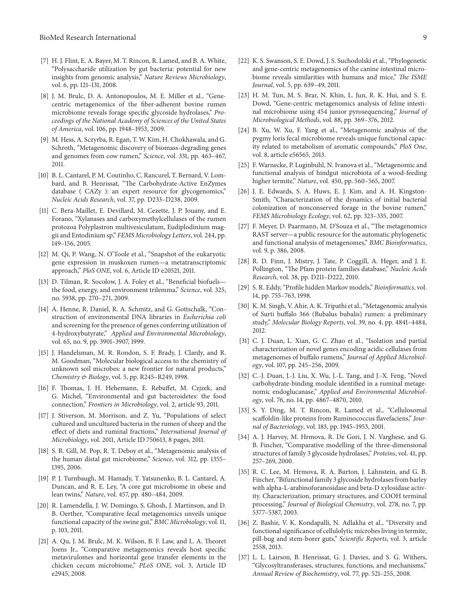- [7] H. J. Flint, E. A. Bayer, M. T. Rincon, R. Lamed, and B. A. White, "Polysaccharide utilization by gut bacteria: potential for new insights from genomic analysis," *Nature Reviews Microbiology*, vol. 6, pp. 121–131, 2008.
- [8] J. M. Brulc, D. A. Antonopoulos, M. E. Miller et al., "Genecentric metagenomics of the fiber-adherent bovine rumen microbiome reveals forage specific glycoside hydrolases," *Proceedings of the National Academy of Sciences of the United States of America*, vol. 106, pp. 1948–1953, 2009.
- [9] M. Hess, A. Sczyrba, R. Egan, T. W. Kim, H. Chokhawala, and G. Schroth, "Metagenomic discovery of biomass-degrading genes and genomes from cow rumen," *Science*, vol. 331, pp. 463–467, 2011.
- [10] B. L. Cantarel, P. M. Coutinho, C. Rancurel, T. Bernard, V. Lombard, and B. Henrissat, "The Carbohydrate-Active EnZymes database ( CAZy ): an expert resource for glycogenomics," *Nucleic Acids Research*, vol. 37, pp. D233–D238, 2009.
- [11] C. Bera-Maillet, E. Devillard, M. Cezette, J. P. Jouany, and E. Forano, "Xylanases and carboxymethylcellulases of the rumen protozoa Polyplastron multivesiculatum, Eudiplodinium maggii and Entodinium sp," *FEMS Microbiology Letters*, vol. 244, pp. 149–156, 2005.
- [12] M. Qi, P. Wang, N. O'Toole et al., "Snapshot of the eukaryotic gene expression in muskoxen rumen—a metatranscriptomic approach," *PloS ONE*, vol. 6, Article ID e20521, 2011.
- [13] D. Tilman, R. Socolow, J. A. Foley et al., "Beneficial biofuelsthe food, energy, and environment trilemma," *Science*, vol. 325, no. 5938, pp. 270–271, 2009.
- [14] A. Henne, R. Daniel, R. A. Schmitz, and G. Gottschalk, "Construction of environmental DNA libraries in *Escherichia coli* and screening for the presence of genes conferring utilization of 4-hydroxybutyrate," *Applied and Environmental Microbiology*, vol. 65, no. 9, pp. 3901–3907, 1999.
- [15] J. Handelsman, M. R. Rondon, S. F. Brady, J. Clardy, and R. M. Goodman, "Molecular biological access to the chemistry of unknown soil microbes: a new frontier for natural products," *Chemistry & Biology*, vol. 5, pp. R245–R249, 1998.
- [16] F. Thomas, J. H. Hehemann, E. Rebuffet, M. Czjzek, and G. Michel, "Environmental and gut bacteroidetes: the food connection," *Frontiers in Microbiology*, vol. 2, article 93, 2011.
- [17] J. Stiverson, M. Morrison, and Z. Yu, "Populations of select cultured and uncultured bacteria in the rumen of sheep and the effect of diets and ruminal fractions," *International Journal of Microbiology*, vol. 2011, Article ID 750613, 8 pages, 2011.
- [18] S. R. Gill, M. Pop, R. T. Deboy et al., "Metagenomic analysis of the human distal gut microbiome," *Science*, vol. 312, pp. 1355– 1395, 2006.
- [19] P. J. Turnbaugh, M. Hamady, T. Yatsunenko, B. L. Cantarel, A. Duncan, and R. E. Ley, "A core gut microbiome in obese and lean twins," *Nature*, vol. 457, pp. 480–484, 2009.
- [20] R. Lamendella, J. W. Domingo, S. Ghosh, J. Martinson, and D. B. Oerther, "Comparative fecal metagenomics unveils unique functional capacity of the swine gut," *BMC Microbiology*, vol. 11, p. 103, 2011.
- [21] A. Qu, J. M. Brulc, M. K. Wilson, B. F. Law, and L. A. Theoret Joens Jr., "Comparative metagenomics reveals host specific metavirulomes and horizontal gene transfer elements in the chicken cecum microbiome," *PLoS ONE*, vol. 3, Article ID e2945, 2008.
- [22] K. S. Swanson, S. E. Dowd, J. S. Suchodolski et al., "Phylogenetic and gene-centric metagenomics of the canine intestinal microbiome reveals similarities with humans and mice," *The ISME*
- [23] H. M. Tun, M. S. Brar, N. Khin, L. Jun, R. K. Hui, and S. E. Dowd, "Gene-centric metagenomics analysis of feline intestinal microbiome using 454 junior pyrosequencing," *Journal of Microbiological Methods*, vol. 88, pp. 369–376, 2012.

*Journal*, vol. 5, pp. 639–49, 2011.

- [24] B. Xu, W. Xu, F. Yang et al., "Metagenomic analysis of the pygmy loris fecal microbiome reveals unique functional capacity related to metabolism of aromatic compounds," *PloS One*, vol. 8, article e56565, 2013.
- [25] F. Warnecke, P. Luginbuhl, N. Ivanova et al., "Metagenomic and functional analysis of hindgut microbiota of a wood-feeding higher termite," *Nature*, vol. 450, pp. 560–565, 2007.
- [26] J. E. Edwards, S. A. Huws, E. J. Kim, and A. H. Kingston-Smith, "Characterization of the dynamics of initial bacterial colonization of nonconserved forage in the bovine rumen," *FEMS Microbiology Ecology*, vol. 62, pp. 323–335, 2007.
- [27] F. Meyer, D. Paarmann, M. D'Souza et al., "The metagenomics RAST server—a public resource for the automatic phylogenetic and functional analysis of metagenomes," *BMC Bioinformatics*, vol. 9, p. 386, 2008.
- [28] R. D. Finn, J. Mistry, J. Tate, P. Coggill, A. Heger, and J. E. Pollington, "The Pfam protein families database," *Nucleic Acids Research*, vol. 38, pp. D211–D222, 2010.
- [29] S. R. Eddy, "Profile hidden Markov models," *Bioinformatics*, vol. 14, pp. 755–763, 1998.
- [30] K. M. Singh, V. Ahir, A. K. Tripathi et al., "Metagenomic analysis of Surti buffalo 366 (Bubalus bubalis) rumen: a preliminary study," *Molecular Biology Reports*, vol. 39, no. 4, pp. 4841–4484, 2012.
- [31] C. J. Duan, L. Xian, G. C. Zhao et al., "Isolation and partial characterization of novel genes encoding acidic cellulases from metagenomes of buffalo rumens," *Journal of Applied Microbiology*, vol. 107, pp. 245–256, 2009.
- [32] C.-J. Duan, J.-J. Liu, X. Wu, J.-L. Tang, and J.-X. Feng, "Novel carbohydrate-binding module identified in a ruminal metagenomic endoglucanase," *Applied and Environmental Microbiology*, vol. 76, no. 14, pp. 4867–4870, 2010.
- [33] S. Y. Ding, M. T. Rincon, R. Lamed et al., "Cellulosomal scaffoldin-like proteins from Ruminococcus flavefaciens," *Journal of Bacteriology*, vol. 183, pp. 1945–1953, 2001.
- [34] A. J. Harvey, M. Hrmova, R. De Gori, J. N. Varghese, and G. B. Fincher, "Comparative modelling of the three-dimensional structures of family 3 glycoside hydrolases," *Proteins*, vol. 41, pp. 257–269, 2000.
- [35] R. C. Lee, M. Hrmova, R. A. Burton, J. Lahnstein, and G. B. Fincher, "Bifunctional family 3 glycoside hydrolases from barley with alpha-L-arabinofuranosidase and beta-D xylosidase activity. Characterization, primary structures, and COOH terminal processing," *Journal of Biological Chemistry*, vol. 278, no. 7, pp. 5377–5387, 2003.
- [36] Z. Bashir, V. K. Kondapalli, N. Adlakha et al., "Diversity and functional significance of cellulolytic microbes living in termite, pill-bug and stem-borer guts," *Scientific Reports*, vol. 3, article 2558, 2013.
- [37] L. L. Lairson, B. Henrissat, G. J. Davies, and S. G. Withers, "Glycosyltransferases, structures, functions, and mechanisms," *Annual Review of Biochemistry*, vol. 77, pp. 521–255, 2008.